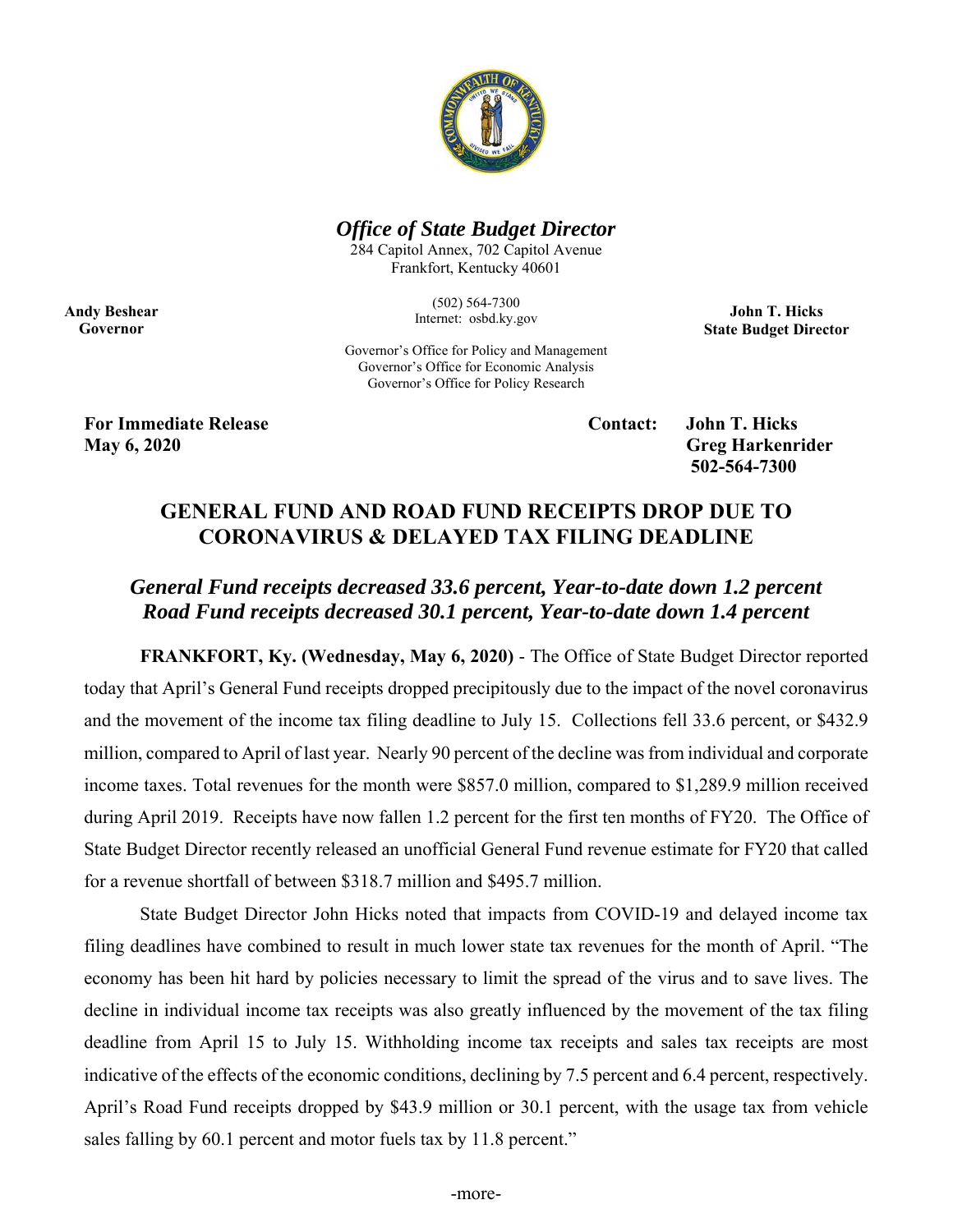

## *Office of State Budget Director*

284 Capitol Annex, 702 Capitol Avenue Frankfort, Kentucky 40601

> (502) 564-7300 Internet: osbd.ky.gov

**John T. Hicks State Budget Director** 

Governor's Office for Policy and Management Governor's Office for Economic Analysis Governor's Office for Policy Research

**For Immediate Release Contact: John T. Hicks May 6, 2020** Greg Harkenrider **Greg Harkenrider Greg Harkenrider Greg Harkenrider** 

**Andy Beshear Governor** 

 **502-564-7300** 

## **GENERAL FUND AND ROAD FUND RECEIPTS DROP DUE TO CORONAVIRUS & DELAYED TAX FILING DEADLINE**

# *General Fund receipts decreased 33.6 percent, Year-to-date down 1.2 percent Road Fund receipts decreased 30.1 percent, Year-to-date down 1.4 percent*

**FRANKFORT, Ky. (Wednesday, May 6, 2020)** - The Office of State Budget Director reported today that April's General Fund receipts dropped precipitously due to the impact of the novel coronavirus and the movement of the income tax filing deadline to July 15. Collections fell 33.6 percent, or \$432.9 million, compared to April of last year. Nearly 90 percent of the decline was from individual and corporate income taxes. Total revenues for the month were \$857.0 million, compared to \$1,289.9 million received during April 2019. Receipts have now fallen 1.2 percent for the first ten months of FY20. The Office of State Budget Director recently released an unofficial General Fund revenue estimate for FY20 that called for a revenue shortfall of between \$318.7 million and \$495.7 million.

State Budget Director John Hicks noted that impacts from COVID-19 and delayed income tax filing deadlines have combined to result in much lower state tax revenues for the month of April. "The economy has been hit hard by policies necessary to limit the spread of the virus and to save lives. The decline in individual income tax receipts was also greatly influenced by the movement of the tax filing deadline from April 15 to July 15. Withholding income tax receipts and sales tax receipts are most indicative of the effects of the economic conditions, declining by 7.5 percent and 6.4 percent, respectively. April's Road Fund receipts dropped by \$43.9 million or 30.1 percent, with the usage tax from vehicle sales falling by 60.1 percent and motor fuels tax by 11.8 percent."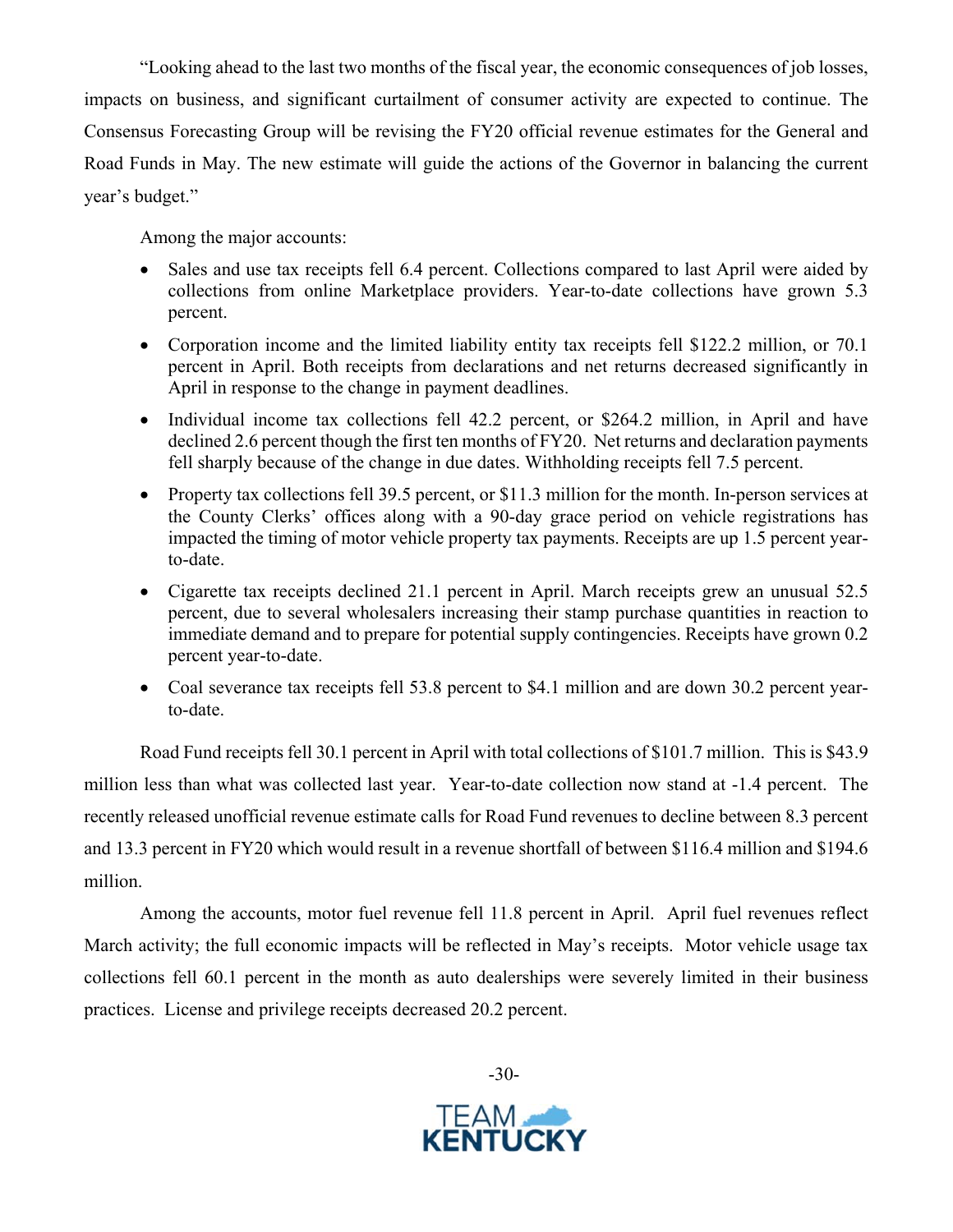"Looking ahead to the last two months of the fiscal year, the economic consequences of job losses, impacts on business, and significant curtailment of consumer activity are expected to continue. The Consensus Forecasting Group will be revising the FY20 official revenue estimates for the General and Road Funds in May. The new estimate will guide the actions of the Governor in balancing the current year's budget."

Among the major accounts:

- Sales and use tax receipts fell 6.4 percent. Collections compared to last April were aided by collections from online Marketplace providers. Year-to-date collections have grown 5.3 percent.
- Corporation income and the limited liability entity tax receipts fell \$122.2 million, or 70.1 percent in April. Both receipts from declarations and net returns decreased significantly in April in response to the change in payment deadlines.
- Individual income tax collections fell 42.2 percent, or \$264.2 million, in April and have declined 2.6 percent though the first ten months of FY20. Net returns and declaration payments fell sharply because of the change in due dates. Withholding receipts fell 7.5 percent.
- Property tax collections fell 39.5 percent, or \$11.3 million for the month. In-person services at the County Clerks' offices along with a 90-day grace period on vehicle registrations has impacted the timing of motor vehicle property tax payments. Receipts are up 1.5 percent yearto-date.
- Cigarette tax receipts declined 21.1 percent in April. March receipts grew an unusual 52.5 percent, due to several wholesalers increasing their stamp purchase quantities in reaction to immediate demand and to prepare for potential supply contingencies. Receipts have grown 0.2 percent year-to-date.
- Coal severance tax receipts fell 53.8 percent to \$4.1 million and are down 30.2 percent yearto-date.

Road Fund receipts fell 30.1 percent in April with total collections of \$101.7 million. This is \$43.9 million less than what was collected last year. Year-to-date collection now stand at -1.4 percent. The recently released unofficial revenue estimate calls for Road Fund revenues to decline between 8.3 percent and 13.3 percent in FY20 which would result in a revenue shortfall of between \$116.4 million and \$194.6 million.

Among the accounts, motor fuel revenue fell 11.8 percent in April. April fuel revenues reflect March activity; the full economic impacts will be reflected in May's receipts. Motor vehicle usage tax collections fell 60.1 percent in the month as auto dealerships were severely limited in their business practices. License and privilege receipts decreased 20.2 percent.



-30-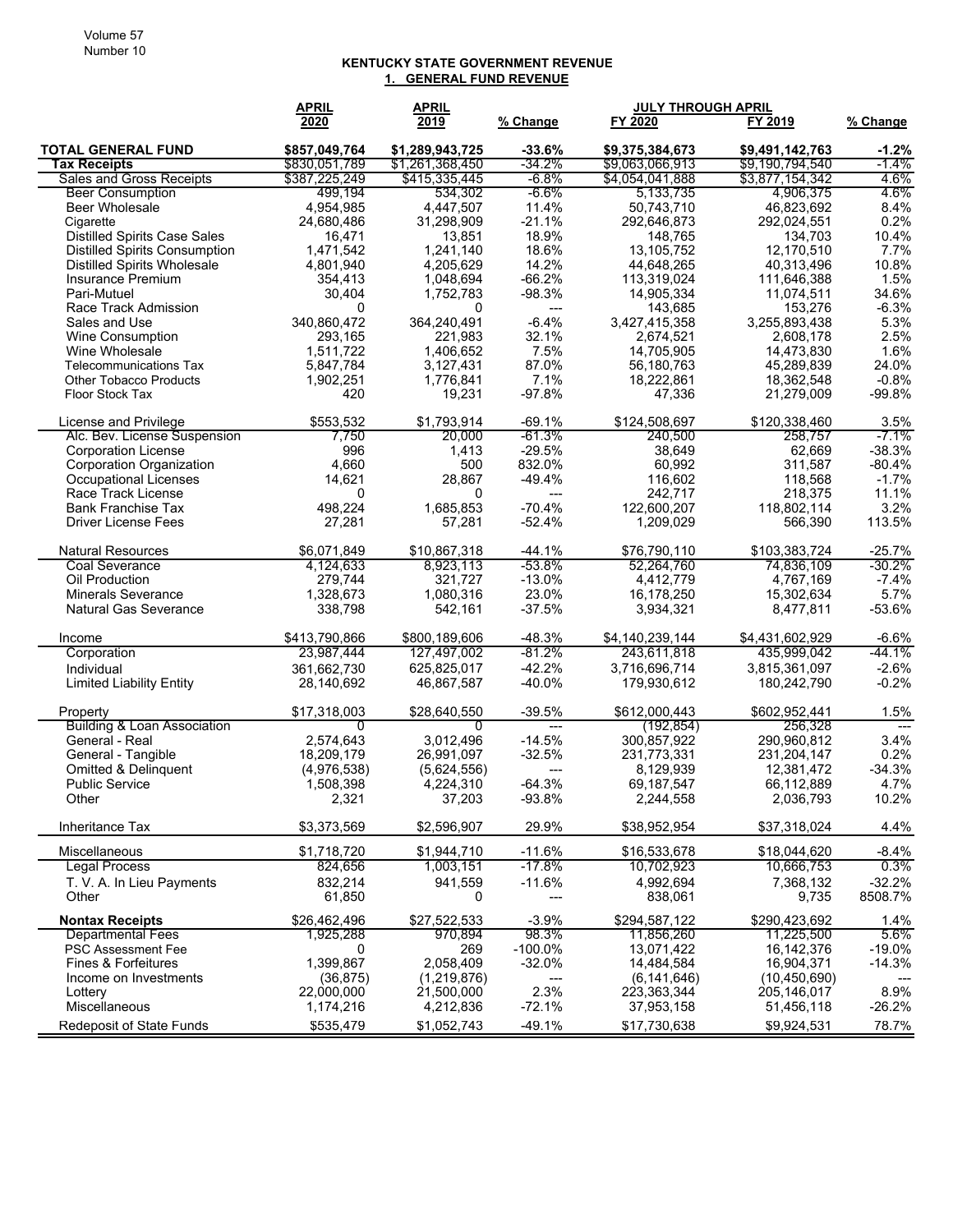#### **KENTUCKY STATE GOVERNMENT REVENUE 1. GENERAL FUND REVENUE**

|                                        | <b>APRIL</b>  | <b>APRIL</b>    |                                      | <b>JULY THROUGH APRIL</b> |                       |               |
|----------------------------------------|---------------|-----------------|--------------------------------------|---------------------------|-----------------------|---------------|
|                                        | 2020          | 2019            | <u>% Change</u>                      | FY 2020                   | FY 2019               | % Change      |
| <b>TOTAL GENERAL FUND</b>              | \$857,049,764 | \$1,289,943,725 | $-33.6%$                             | \$9,375,384,673           | \$9,491,142,763       | $-1.2%$       |
| <b>Tax Receipts</b>                    | \$830,051,789 | \$1,261,368,450 | -34.2%                               | \$9,063,066,913           | \$9,190,794,540       | -1.4%         |
| Sales and Gross Receipts               | \$387,225,249 | \$415,335,445   | $-6.8%$                              | \$4,054,041,888           | \$3,877,154,342       | 4.6%          |
| <b>Beer Consumption</b>                | 499,194       | 534,302         | $-6.6\%$                             | 5,133,735                 | 4,906,375             | 4.6%          |
| <b>Beer Wholesale</b>                  | 4,954,985     | 4,447,507       | 11.4%                                | 50,743,710                | 46.823.692            | 8.4%          |
| Cigarette                              | 24,680,486    | 31,298,909      | $-21.1%$                             | 292,646,873               | 292,024,551           | 0.2%          |
| <b>Distilled Spirits Case Sales</b>    | 16,471        | 13,851          | 18.9%                                | 148,765                   | 134,703               | 10.4%         |
| <b>Distilled Spirits Consumption</b>   | 1,471,542     | 1,241,140       | 18.6%                                | 13,105,752                | 12,170,510            | 7.7%          |
| <b>Distilled Spirits Wholesale</b>     | 4,801,940     | 4,205,629       | 14.2%                                | 44,648,265                | 40,313,496            | 10.8%         |
| Insurance Premium<br>Pari-Mutuel       | 354,413       | 1,048,694       | $-66.2%$                             | 113,319,024<br>14,905,334 | 111,646,388           | 1.5%<br>34.6% |
| Race Track Admission                   | 30,404<br>0   | 1,752,783<br>0  | $-98.3%$<br>$\hspace{0.05cm} \ldots$ | 143,685                   | 11,074,511<br>153,276 | $-6.3%$       |
| Sales and Use                          | 340.860.472   | 364,240,491     | $-6.4%$                              | 3,427,415,358             | 3,255,893,438         | 5.3%          |
| Wine Consumption                       | 293,165       | 221,983         | 32.1%                                | 2,674,521                 | 2,608,178             | 2.5%          |
| Wine Wholesale                         | 1,511,722     | 1,406,652       | 7.5%                                 | 14,705,905                | 14,473,830            | 1.6%          |
| <b>Telecommunications Tax</b>          | 5,847,784     | 3,127,431       | 87.0%                                | 56,180,763                | 45,289,839            | 24.0%         |
| <b>Other Tobacco Products</b>          | 1,902,251     | 1,776,841       | 7.1%                                 | 18,222,861                | 18,362,548            | $-0.8%$       |
| Floor Stock Tax                        | 420           | 19,231          | $-97.8%$                             | 47,336                    | 21,279,009            | $-99.8%$      |
|                                        |               |                 |                                      |                           |                       |               |
| License and Privilege                  | \$553,532     | \$1,793,914     | $-69.1%$                             | \$124,508,697             | \$120,338,460         | 3.5%          |
| Alc. Bev. License Suspension           | 7,750         | 20,000          | -61.3%                               | 240.500                   | 258,757               | $-7.1\%$      |
| <b>Corporation License</b>             | 996           | 1,413           | $-29.5%$                             | 38.649                    | 62,669                | $-38.3%$      |
| <b>Corporation Organization</b>        | 4,660         | 500             | 832.0%                               | 60,992                    | 311,587               | $-80.4%$      |
| <b>Occupational Licenses</b>           | 14,621        | 28,867          | $-49.4%$                             | 116.602                   | 118,568               | $-1.7%$       |
| Race Track License                     | 0             | 0               | ---                                  | 242,717                   | 218,375               | 11.1%         |
| <b>Bank Franchise Tax</b>              | 498,224       | 1,685,853       | $-70.4%$                             | 122,600,207               | 118,802,114           | 3.2%          |
| <b>Driver License Fees</b>             | 27,281        | 57,281          | $-52.4%$                             | 1,209,029                 | 566.390               | 113.5%        |
| <b>Natural Resources</b>               | \$6,071,849   | \$10,867,318    | $-44.1%$                             | \$76,790,110              | \$103,383,724         | $-25.7%$      |
| <b>Coal Severance</b>                  | 4,124,633     | 8,923,113       | $-53.8%$                             | 52,264,760                | 74,836,109            | -30.2%        |
| Oil Production                         | 279,744       | 321,727         | $-13.0%$                             | 4,412,779                 | 4,767,169             | $-7.4%$       |
| <b>Minerals Severance</b>              | 1,328,673     | 1,080,316       | 23.0%                                | 16,178,250                | 15,302,634            | 5.7%          |
| <b>Natural Gas Severance</b>           | 338,798       | 542,161         | $-37.5%$                             | 3,934,321                 | 8,477,811             | $-53.6%$      |
| Income                                 | \$413,790,866 | \$800,189,606   | $-48.3%$                             | \$4,140,239,144           | \$4,431,602,929       | $-6.6%$       |
| Corporation                            | 23,987,444    | 127,497,002     | $-81.2%$                             | 243,611,818               | 435,999,042           | -44.1%        |
| Individual                             | 361,662,730   | 625,825,017     | $-42.2%$                             | 3,716,696,714             | 3,815,361,097         | $-2.6%$       |
| <b>Limited Liability Entity</b>        | 28,140,692    | 46,867,587      | -40.0%                               | 179,930,612               | 180,242,790           | $-0.2%$       |
| Property                               | \$17,318,003  | \$28,640,550    | $-39.5%$                             | \$612,000,443             | \$602,952,441         | 1.5%          |
| <b>Building &amp; Loan Association</b> | $\Omega$      | $\Omega$        | $---$                                | (192, 854)                | 256,328               | $---$         |
| General - Real                         | 2,574,643     | 3,012,496       | $-14.5%$                             | 300,857,922               | 290,960,812           | 3.4%          |
| General - Tangible                     | 18,209,179    | 26,991,097      | $-32.5%$                             | 231,773,331               | 231,204,147           | 0.2%          |
| Omitted & Delinquent                   | (4,976,538)   | (5,624,556)     | ---                                  | 8,129,939                 | 12,381,472            | $-34.3%$      |
| <b>Public Service</b>                  | 1,508,398     | 4,224,310       | $-64.3%$                             | 69,187,547                | 66,112,889            | 4.7%          |
| Other                                  | 2,321         | 37,203          | $-93.8%$                             | 2,244,558                 | 2,036,793             | 10.2%         |
| Inheritance Tax                        | \$3,373,569   | \$2,596,907     | 29.9%                                | \$38,952,954              | \$37,318,024          | 4.4%          |
| Miscellaneous                          | \$1.718.720   | \$1,944,710     | $-11.6%$                             | \$16,533,678              | \$18,044,620          | $-8.4%$       |
| <b>Legal Process</b>                   | 824,656       | 1,003,151       | $-17.8%$                             | 10,702,923                | 10,666,753            | 0.3%          |
| T. V. A. In Lieu Payments              | 832,214       | 941,559         | $-11.6%$                             | 4,992,694                 | 7,368,132             | $-32.2%$      |
| Other                                  | 61,850        | 0               |                                      | 838,061                   | 9,735                 | 8508.7%       |
| <b>Nontax Receipts</b>                 | \$26,462,496  | \$27,522,533    | $-3.9%$                              | \$294,587,122             | \$290,423,692         | 1.4%          |
| <b>Departmental Fees</b>               | 1,925,288     | 970.894         | 98.3%                                | 11,856,260                | 11,225,500            | 5.6%          |
| <b>PSC Assessment Fee</b>              | 0             | 269             | $-100.0\%$                           | 13,071,422                | 16,142,376            | $-19.0\%$     |
| <b>Fines &amp; Forfeitures</b>         | 1,399,867     | 2,058,409       | $-32.0%$                             | 14,484,584                | 16,904,371            | $-14.3%$      |
| Income on Investments                  | (36, 875)     | (1,219,876)     | ---                                  | (6, 141, 646)             | (10, 450, 690)        |               |
| Lottery                                | 22,000,000    | 21,500,000      | 2.3%                                 | 223,363,344               | 205,146,017           | 8.9%          |
| Miscellaneous                          | 1,174,216     | 4,212,836       | $-72.1%$                             | 37,953,158                | 51,456,118            | $-26.2%$      |
| <b>Redeposit of State Funds</b>        | \$535,479     | \$1,052,743     | $-49.1%$                             | \$17,730,638              | \$9,924,531           | 78.7%         |